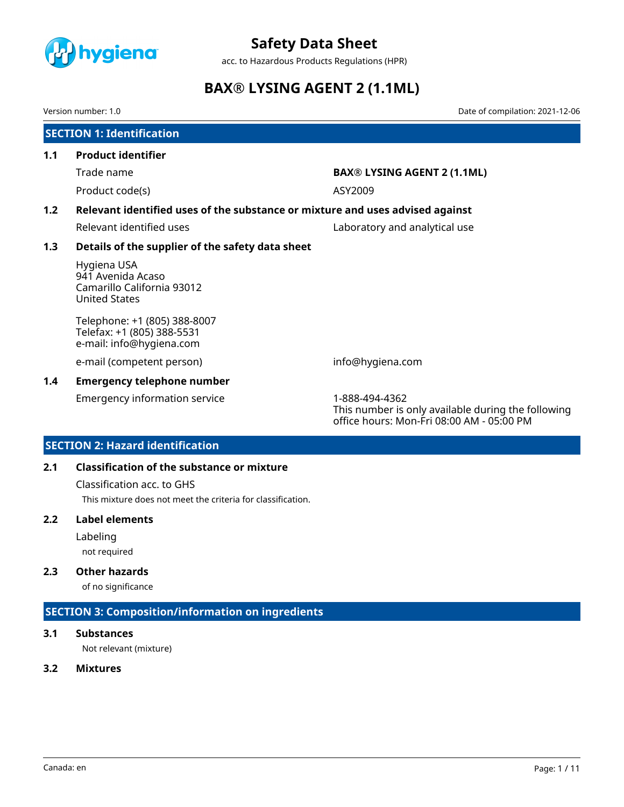

acc. to Hazardous Products Regulations (HPR)

# **BAX® LYSING AGENT 2 (1.1ML)**

Version number: 1.0 Date of compilation: 2021-12-06

# **SECTION 1: Identification 1.1 Product identifier** Trade name **BAX® LYSING AGENT 2 (1.1ML)** Product code(s) ASY2009 **1.2 Relevant identified uses of the substance or mixture and uses advised against** Relevant identified uses **Laboratory and analytical use 1.3 Details of the supplier of the safety data sheet** Hygiena USA 941 Avenida Acaso Camarillo California 93012 United States Telephone: +1 (805) 388-8007 Telefax: +1 (805) 388-5531 e-mail: info@hygiena.com e-mail (competent person) info@hygiena.com **1.4 Emergency telephone number** Emergency information service 1-888-494-4362

This number is only available during the following office hours: Mon-Fri 08:00 AM - 05:00 PM

## **SECTION 2: Hazard identification**

## **2.1 Classification of the substance or mixture**

Classification acc. to GHS

This mixture does not meet the criteria for classification.

## **2.2 Label elements**

Labeling

not required

## **2.3 Other hazards**

of no significance

## **SECTION 3: Composition/information on ingredients**

## **3.1 Substances**

Not relevant (mixture)

### **3.2 Mixtures**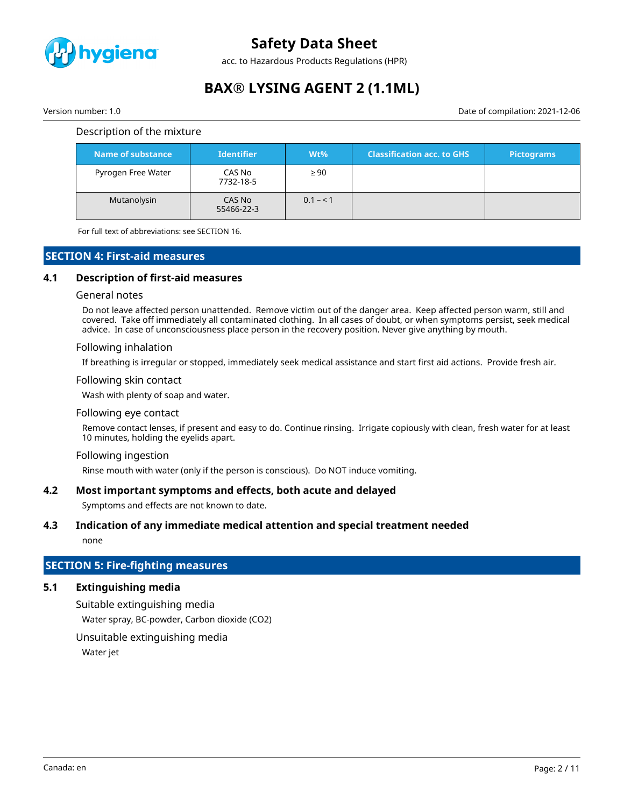

acc. to Hazardous Products Regulations (HPR)

# **BAX® LYSING AGENT 2 (1.1ML)**

Version number: 1.0 Date of compilation: 2021-12-06

#### Description of the mixture

| Name of substance  | <b>Identifier</b>    | $Wt\%$    | <b>Classification acc. to GHS</b> | <b>Pictograms</b> |
|--------------------|----------------------|-----------|-----------------------------------|-------------------|
| Pyrogen Free Water | CAS No<br>7732-18-5  | $\geq 90$ |                                   |                   |
| Mutanolysin        | CAS No<br>55466-22-3 | $0.1 - 1$ |                                   |                   |

For full text of abbreviations: see SECTION 16.

## **SECTION 4: First-aid measures**

### **4.1 Description of first-aid measures**

#### General notes

Do not leave affected person unattended. Remove victim out of the danger area. Keep affected person warm, still and covered. Take off immediately all contaminated clothing. In all cases of doubt, or when symptoms persist, seek medical advice. In case of unconsciousness place person in the recovery position. Never give anything by mouth.

#### Following inhalation

If breathing is irregular or stopped, immediately seek medical assistance and start first aid actions. Provide fresh air.

#### Following skin contact

Wash with plenty of soap and water.

#### Following eye contact

Remove contact lenses, if present and easy to do. Continue rinsing. Irrigate copiously with clean, fresh water for at least 10 minutes, holding the eyelids apart.

#### Following ingestion

Rinse mouth with water (only if the person is conscious). Do NOT induce vomiting.

#### **4.2 Most important symptoms and effects, both acute and delayed**

Symptoms and effects are not known to date.

#### **4.3 Indication of any immediate medical attention and special treatment needed**

none

# **SECTION 5: Fire-fighting measures**

## **5.1 Extinguishing media**

Suitable extinguishing media Water spray, BC-powder, Carbon dioxide (CO2)

Unsuitable extinguishing media

Water jet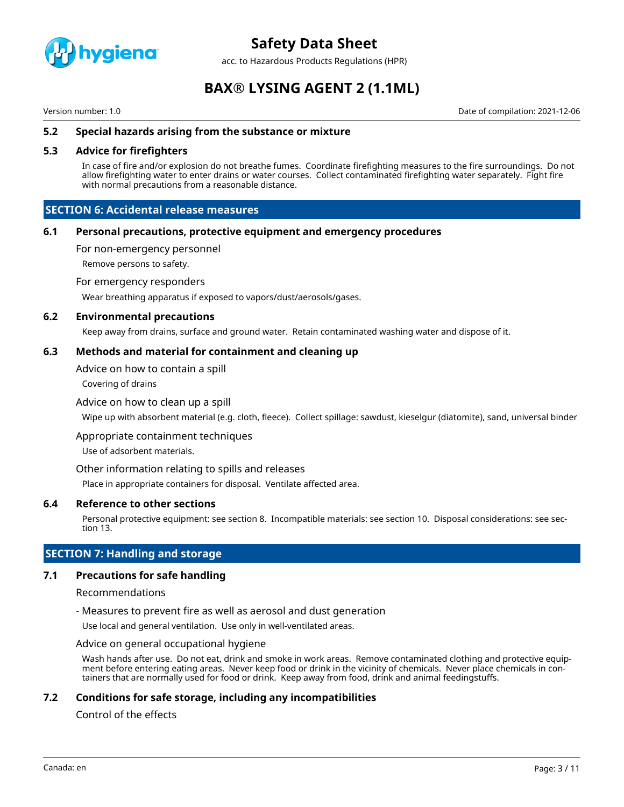

acc. to Hazardous Products Regulations (HPR)

# **BAX® LYSING AGENT 2 (1.1ML)**

Version number: 1.0 Date of compilation: 2021-12-06

### **5.2 Special hazards arising from the substance or mixture**

### **5.3 Advice for firefighters**

In case of fire and/or explosion do not breathe fumes. Coordinate firefighting measures to the fire surroundings. Do not allow firefighting water to enter drains or water courses. Collect contaminated firefighting water separately. Fight fire with normal precautions from a reasonable distance.

## **SECTION 6: Accidental release measures**

### **6.1 Personal precautions, protective equipment and emergency procedures**

For non-emergency personnel

Remove persons to safety.

For emergency responders

Wear breathing apparatus if exposed to vapors/dust/aerosols/gases.

#### **6.2 Environmental precautions**

Keep away from drains, surface and ground water. Retain contaminated washing water and dispose of it.

#### **6.3 Methods and material for containment and cleaning up**

Advice on how to contain a spill

Covering of drains

#### Advice on how to clean up a spill

Wipe up with absorbent material (e.g. cloth, fleece). Collect spillage: sawdust, kieselgur (diatomite), sand, universal binder

Appropriate containment techniques

Use of adsorbent materials.

#### Other information relating to spills and releases

Place in appropriate containers for disposal. Ventilate affected area.

### **6.4 Reference to other sections**

Personal protective equipment: see section 8. Incompatible materials: see section 10. Disposal considerations: see section 13.

## **SECTION 7: Handling and storage**

### **7.1 Precautions for safe handling**

#### Recommendations

- Measures to prevent fire as well as aerosol and dust generation

Use local and general ventilation. Use only in well-ventilated areas.

#### Advice on general occupational hygiene

Wash hands after use. Do not eat, drink and smoke in work areas. Remove contaminated clothing and protective equipment before entering eating areas. Never keep food or drink in the vicinity of chemicals. Never place chemicals in containers that are normally used for food or drink. Keep away from food, drink and animal feedingstuffs.

## **7.2 Conditions for safe storage, including any incompatibilities**

## Control of the effects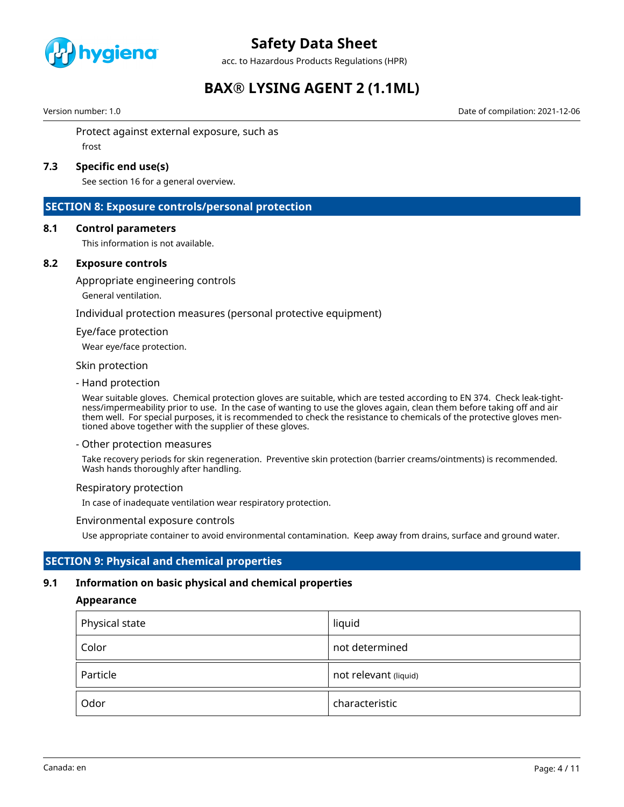

acc. to Hazardous Products Regulations (HPR)

# **BAX® LYSING AGENT 2 (1.1ML)**

Version number: 1.0 Date of compilation: 2021-12-06

Protect against external exposure, such as frost

## **7.3 Specific end use(s)**

See section 16 for a general overview.

## **SECTION 8: Exposure controls/personal protection**

#### **8.1 Control parameters**

This information is not available.

### **8.2 Exposure controls**

Appropriate engineering controls

General ventilation.

Individual protection measures (personal protective equipment)

#### Eye/face protection

Wear eye/face protection.

#### Skin protection

- Hand protection

Wear suitable gloves. Chemical protection gloves are suitable, which are tested according to EN 374. Check leak-tightness/impermeability prior to use. In the case of wanting to use the gloves again, clean them before taking off and air them well. For special purposes, it is recommended to check the resistance to chemicals of the protective gloves mentioned above together with the supplier of these gloves.

#### - Other protection measures

Take recovery periods for skin regeneration. Preventive skin protection (barrier creams/ointments) is recommended. Wash hands thoroughly after handling.

#### Respiratory protection

In case of inadequate ventilation wear respiratory protection.

#### Environmental exposure controls

Use appropriate container to avoid environmental contamination. Keep away from drains, surface and ground water.

## **SECTION 9: Physical and chemical properties**

### **9.1 Information on basic physical and chemical properties**

### **Appearance**

| Physical state | liquid                |
|----------------|-----------------------|
| Color          | not determined        |
| Particle       | not relevant (liquid) |
| Odor           | characteristic        |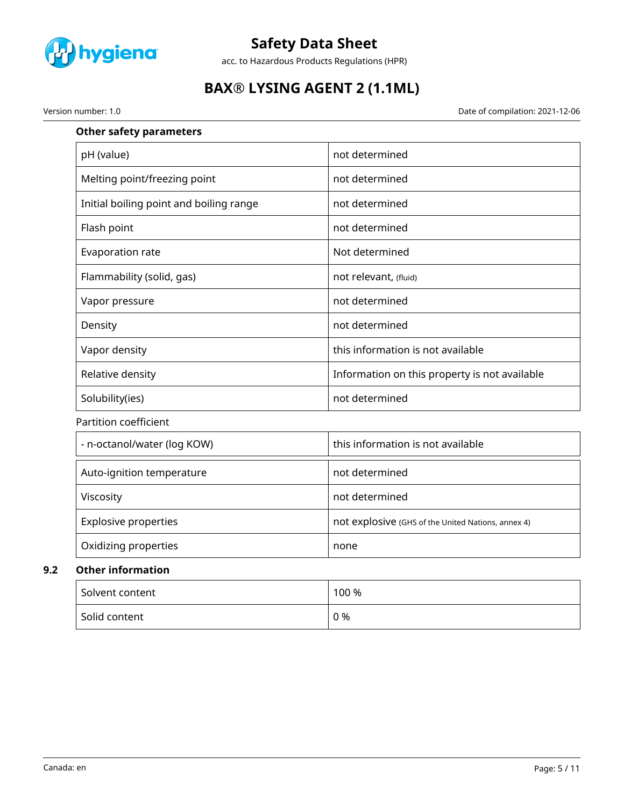

acc. to Hazardous Products Regulations (HPR)

# **BAX® LYSING AGENT 2 (1.1ML)**

Version number: 1.0 Date of compilation: 2021-12-06

| <b>Other safety parameters</b>          |                                                    |
|-----------------------------------------|----------------------------------------------------|
| pH (value)                              | not determined                                     |
| Melting point/freezing point            | not determined                                     |
| Initial boiling point and boiling range | not determined                                     |
| Flash point                             | not determined                                     |
| Evaporation rate                        | Not determined                                     |
| Flammability (solid, gas)               | not relevant, (fluid)                              |
| Vapor pressure                          | not determined                                     |
| Density                                 | not determined                                     |
| Vapor density                           | this information is not available                  |
| Relative density                        | Information on this property is not available      |
| Solubility(ies)                         | not determined                                     |
| Partition coefficient                   |                                                    |
| - n-octanol/water (log KOW)             | this information is not available                  |
| Auto-ignition temperature               | not determined                                     |
| Viscosity                               | not determined                                     |
| <b>Explosive properties</b>             | not explosive (GHS of the United Nations, annex 4) |
| Oxidizing properties                    | none                                               |
| <b>Other information</b>                |                                                    |
| Solvent content                         | 100 %                                              |

Solid content 0 %

**9.2**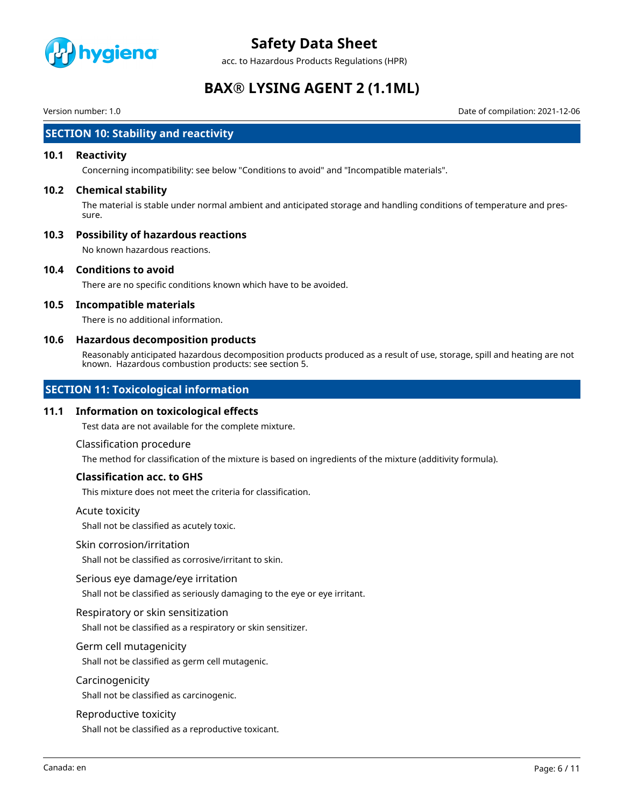

acc. to Hazardous Products Regulations (HPR)

# **BAX® LYSING AGENT 2 (1.1ML)**

Version number: 1.0 Date of compilation: 2021-12-06

## **SECTION 10: Stability and reactivity**

#### **10.1 Reactivity**

Concerning incompatibility: see below "Conditions to avoid" and "Incompatible materials".

#### **10.2 Chemical stability**

The material is stable under normal ambient and anticipated storage and handling conditions of temperature and pressure.

### **10.3 Possibility of hazardous reactions**

No known hazardous reactions.

#### **10.4 Conditions to avoid**

There are no specific conditions known which have to be avoided.

#### **10.5 Incompatible materials**

There is no additional information.

#### **10.6 Hazardous decomposition products**

Reasonably anticipated hazardous decomposition products produced as a result of use, storage, spill and heating are not known. Hazardous combustion products: see section 5.

## **SECTION 11: Toxicological information**

#### **11.1 Information on toxicological effects**

Test data are not available for the complete mixture.

#### Classification procedure

The method for classification of the mixture is based on ingredients of the mixture (additivity formula).

### **Classification acc. to GHS**

This mixture does not meet the criteria for classification.

#### Acute toxicity

Shall not be classified as acutely toxic.

#### Skin corrosion/irritation

Shall not be classified as corrosive/irritant to skin.

#### Serious eye damage/eye irritation

Shall not be classified as seriously damaging to the eye or eye irritant.

#### Respiratory or skin sensitization

Shall not be classified as a respiratory or skin sensitizer.

#### Germ cell mutagenicity

Shall not be classified as germ cell mutagenic.

#### Carcinogenicity

Shall not be classified as carcinogenic.

#### Reproductive toxicity

Shall not be classified as a reproductive toxicant.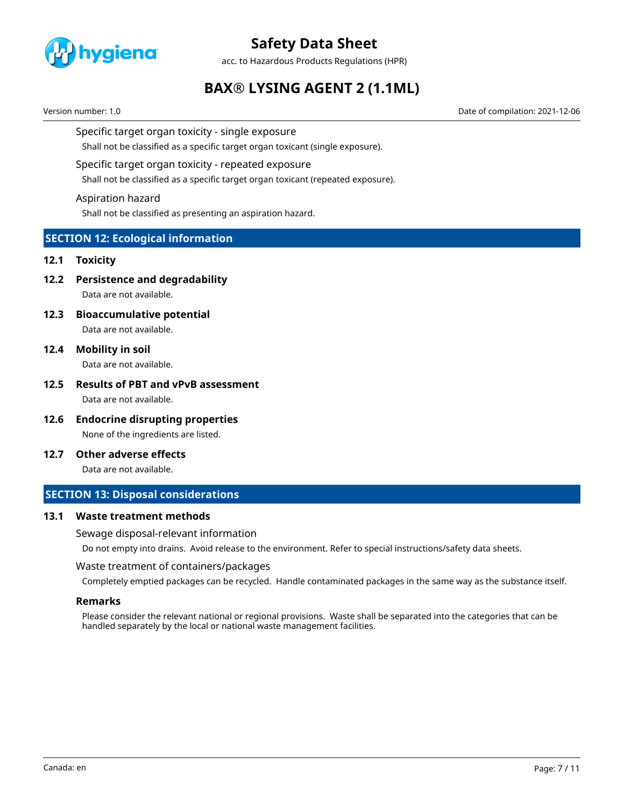

acc. to Hazardous Products Regulations (HPR)

# **BAX® LYSING AGENT 2 (1.1ML)**

Version number: 1.0 Date of compilation: 2021-12-06

#### Specific target organ toxicity - single exposure

Shall not be classified as a specific target organ toxicant (single exposure).

#### Specific target organ toxicity - repeated exposure

Shall not be classified as a specific target organ toxicant (repeated exposure).

#### Aspiration hazard

Shall not be classified as presenting an aspiration hazard.

## **SECTION 12: Ecological information**

#### **12.1 Toxicity**

**12.2 Persistence and degradability**

Data are not available.

**12.3 Bioaccumulative potential**

Data are not available.

**12.4 Mobility in soil** Data are not available.

# **12.5 Results of PBT and vPvB assessment**

Data are not available.

- **12.6 Endocrine disrupting properties** None of the ingredients are listed.
- **12.7 Other adverse effects**

Data are not available.

## **SECTION 13: Disposal considerations**

### **13.1 Waste treatment methods**

Sewage disposal-relevant information

Do not empty into drains. Avoid release to the environment. Refer to special instructions/safety data sheets.

#### Waste treatment of containers/packages

Completely emptied packages can be recycled. Handle contaminated packages in the same way as the substance itself.

#### **Remarks**

Please consider the relevant national or regional provisions. Waste shall be separated into the categories that can be handled separately by the local or national waste management facilities.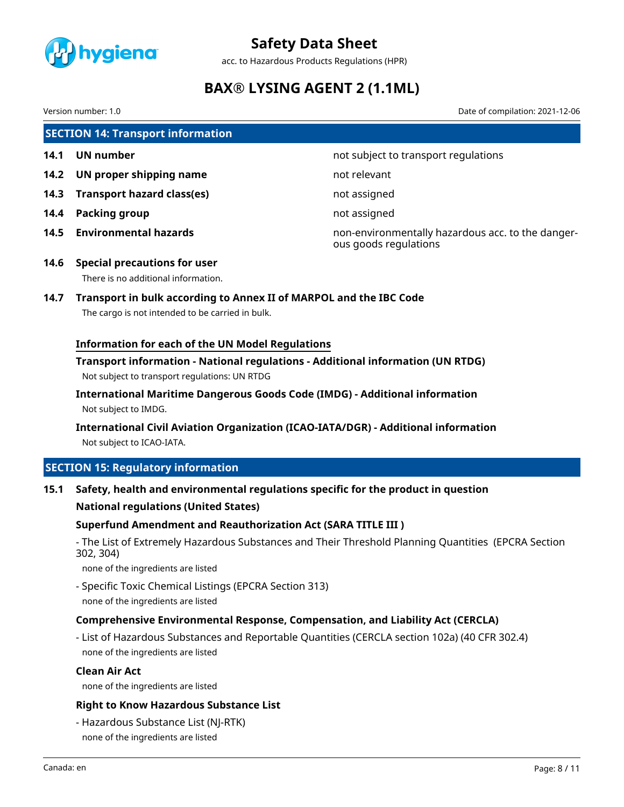

acc. to Hazardous Products Regulations (HPR)

# **BAX® LYSING AGENT 2 (1.1ML)**

Version number: 1.0 Date of compilation: 2021-12-06

**SECTION 14: Transport information**

- 
- **14.2 UN proper shipping name** not relevant
- **14.3 Transport hazard class(es)** not assigned
- **14.4 Packing group not assigned**
- 

**14.1 UN number 14.1 UN** number

**14.5 Environmental hazards** non-environmentally hazardous acc. to the dangerous goods regulations

- **14.6 Special precautions for user** There is no additional information.
- **14.7 Transport in bulk according to Annex II of MARPOL and the IBC Code**

The cargo is not intended to be carried in bulk.

## **Information for each of the UN Model Regulations**

**Transport information - National regulations - Additional information (UN RTDG)** Not subject to transport regulations: UN RTDG

**International Maritime Dangerous Goods Code (IMDG) - Additional information** Not subject to IMDG.

**International Civil Aviation Organization (ICAO-IATA/DGR) - Additional information** Not subject to ICAO-IATA.

## **SECTION 15: Regulatory information**

**15.1 Safety, health and environmental regulations specific for the product in question**

### **National regulations (United States)**

### **Superfund Amendment and Reauthorization Act (SARA TITLE III )**

- The List of Extremely Hazardous Substances and Their Threshold Planning Quantities (EPCRA Section 302, 304)

none of the ingredients are listed

- Specific Toxic Chemical Listings (EPCRA Section 313) none of the ingredients are listed

## **Comprehensive Environmental Response, Compensation, and Liability Act (CERCLA)**

- List of Hazardous Substances and Reportable Quantities (CERCLA section 102a) (40 CFR 302.4) none of the ingredients are listed

### **Clean Air Act**

none of the ingredients are listed

### **Right to Know Hazardous Substance List**

- Hazardous Substance List (NJ-RTK) none of the ingredients are listed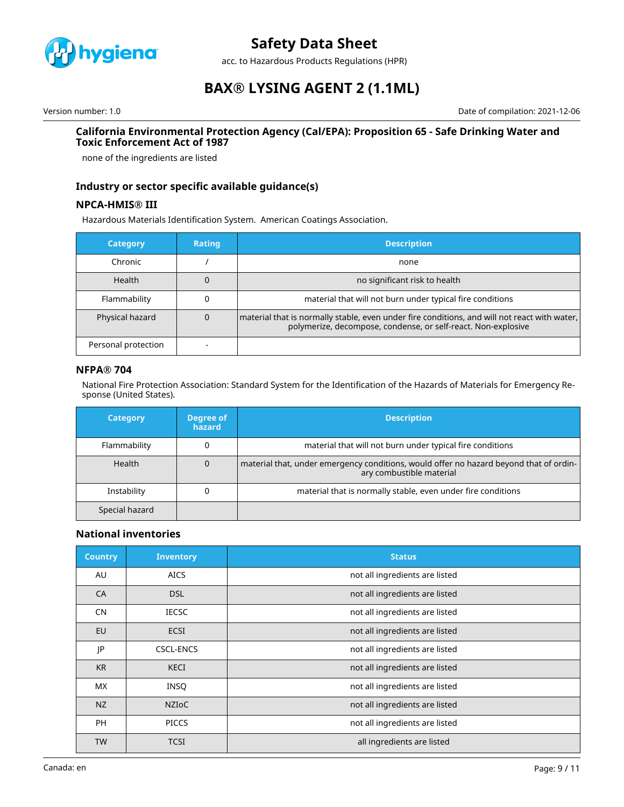

acc. to Hazardous Products Regulations (HPR)

# **BAX® LYSING AGENT 2 (1.1ML)**

Version number: 1.0 Date of compilation: 2021-12-06

#### **California Environmental Protection Agency (Cal/EPA): Proposition 65 - Safe Drinking Water and Toxic Enforcement Act of 1987**

none of the ingredients are listed

## **Industry or sector specific available guidance(s)**

### **NPCA-HMIS® III**

Hazardous Materials Identification System. American Coatings Association.

| <b>Category</b>     | <b>Rating</b> | <b>Description</b>                                                                                                                                              |
|---------------------|---------------|-----------------------------------------------------------------------------------------------------------------------------------------------------------------|
| Chronic             |               | none                                                                                                                                                            |
| Health              |               | no significant risk to health                                                                                                                                   |
| Flammability        |               | material that will not burn under typical fire conditions                                                                                                       |
| Physical hazard     | 0             | material that is normally stable, even under fire conditions, and will not react with water,  <br>polymerize, decompose, condense, or self-react. Non-explosive |
| Personal protection |               |                                                                                                                                                                 |

### **NFPA® 704**

National Fire Protection Association: Standard System for the Identification of the Hazards of Materials for Emergency Response (United States).

| <b>Category</b> | Degree of<br>hazard | <b>Description</b>                                                                                                 |
|-----------------|---------------------|--------------------------------------------------------------------------------------------------------------------|
| Flammability    |                     | material that will not burn under typical fire conditions                                                          |
| Health          | 0                   | material that, under emergency conditions, would offer no hazard beyond that of ordin-<br>ary combustible material |
| Instability     |                     | material that is normally stable, even under fire conditions                                                       |
| Special hazard  |                     |                                                                                                                    |

### **National inventories**

| <b>Country</b> | <b>Inventory</b> | <b>Status</b>                  |
|----------------|------------------|--------------------------------|
| AU             | <b>AICS</b>      | not all ingredients are listed |
| CA             | <b>DSL</b>       | not all ingredients are listed |
| <b>CN</b>      | <b>IECSC</b>     | not all ingredients are listed |
| EU             | <b>ECSI</b>      | not all ingredients are listed |
| JP             | <b>CSCL-ENCS</b> | not all ingredients are listed |
| <b>KR</b>      | <b>KECI</b>      | not all ingredients are listed |
| <b>MX</b>      | <b>INSQ</b>      | not all ingredients are listed |
| NZ             | <b>NZIOC</b>     | not all ingredients are listed |
| <b>PH</b>      | <b>PICCS</b>     | not all ingredients are listed |
| <b>TW</b>      | <b>TCSI</b>      | all ingredients are listed     |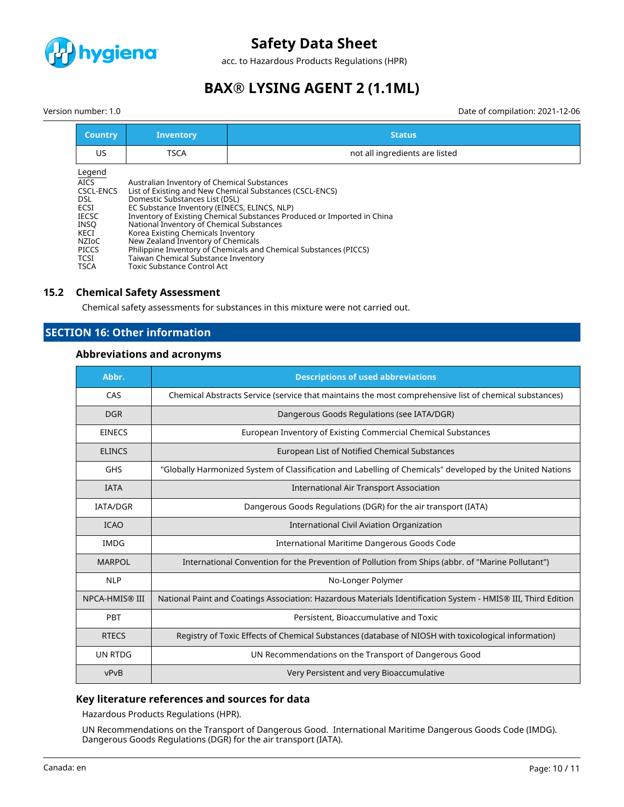

acc. to Hazardous Products Regulations (HPR)

# **BAX® LYSING AGENT 2 (1.1ML)**

Date of compilation: 2021-12-06

|  | Version number: 1.0 |  |
|--|---------------------|--|
|--|---------------------|--|

| <b>Country</b>                                                                                               | <b>Inventory</b>                                                                                                                                                                                                                                                                                                             | <b>Status</b>                                                                                                                                                                                            |
|--------------------------------------------------------------------------------------------------------------|------------------------------------------------------------------------------------------------------------------------------------------------------------------------------------------------------------------------------------------------------------------------------------------------------------------------------|----------------------------------------------------------------------------------------------------------------------------------------------------------------------------------------------------------|
| US                                                                                                           | <b>TSCA</b>                                                                                                                                                                                                                                                                                                                  | not all ingredients are listed                                                                                                                                                                           |
| Legend<br>AICS<br><b>CSCL-ENCS</b><br>DSL<br>ECSI<br>IECSC<br>INSQ<br>KECI<br>NZIoC<br>PICCS<br>TCSI<br>TSCA | Australian Inventory of Chemical Substances<br>Domestic Substances List (DSL)<br>EC Substance Inventory (EINECS, ELINCS, NLP)<br>National Inventory of Chemical Substances<br>Korea Existing Chemicals Inventory<br>New Zealand Inventory of Chemicals<br>Taiwan Chemical Substance Inventory<br>Toxic Substance Control Act | List of Existing and New Chemical Substances (CSCL-ENCS)<br>Inventory of Existing Chemical Substances Produced or Imported in China<br>Philippine Inventory of Chemicals and Chemical Substances (PICCS) |

### **15.2 Chemical Safety Assessment**

Chemical safety assessments for substances in this mixture were not carried out.

## **SECTION 16: Other information**

### **Abbreviations and acronyms**

| Abbr.           | <b>Descriptions of used abbreviations</b>                                                                     |
|-----------------|---------------------------------------------------------------------------------------------------------------|
| CAS             | Chemical Abstracts Service (service that maintains the most comprehensive list of chemical substances)        |
| <b>DGR</b>      | Dangerous Goods Regulations (see IATA/DGR)                                                                    |
| <b>EINECS</b>   | European Inventory of Existing Commercial Chemical Substances                                                 |
| <b>ELINCS</b>   | <b>European List of Notified Chemical Substances</b>                                                          |
| <b>GHS</b>      | "Globally Harmonized System of Classification and Labelling of Chemicals" developed by the United Nations     |
| <b>IATA</b>     | <b>International Air Transport Association</b>                                                                |
| <b>IATA/DGR</b> | Dangerous Goods Regulations (DGR) for the air transport (IATA)                                                |
| <b>ICAO</b>     | International Civil Aviation Organization                                                                     |
| <b>IMDG</b>     | International Maritime Dangerous Goods Code                                                                   |
| <b>MARPOL</b>   | International Convention for the Prevention of Pollution from Ships (abbr. of "Marine Pollutant")             |
| <b>NLP</b>      | No-Longer Polymer                                                                                             |
| NPCA-HMIS® III  | National Paint and Coatings Association: Hazardous Materials Identification System - HMIS® III, Third Edition |
| PBT             | Persistent, Bioaccumulative and Toxic                                                                         |
| <b>RTECS</b>    | Registry of Toxic Effects of Chemical Substances (database of NIOSH with toxicological information)           |
| UN RTDG         | UN Recommendations on the Transport of Dangerous Good                                                         |
| vPvB            | Very Persistent and very Bioaccumulative                                                                      |

### **Key literature references and sources for data**

Hazardous Products Regulations (HPR).

UN Recommendations on the Transport of Dangerous Good. International Maritime Dangerous Goods Code (IMDG). Dangerous Goods Regulations (DGR) for the air transport (IATA).